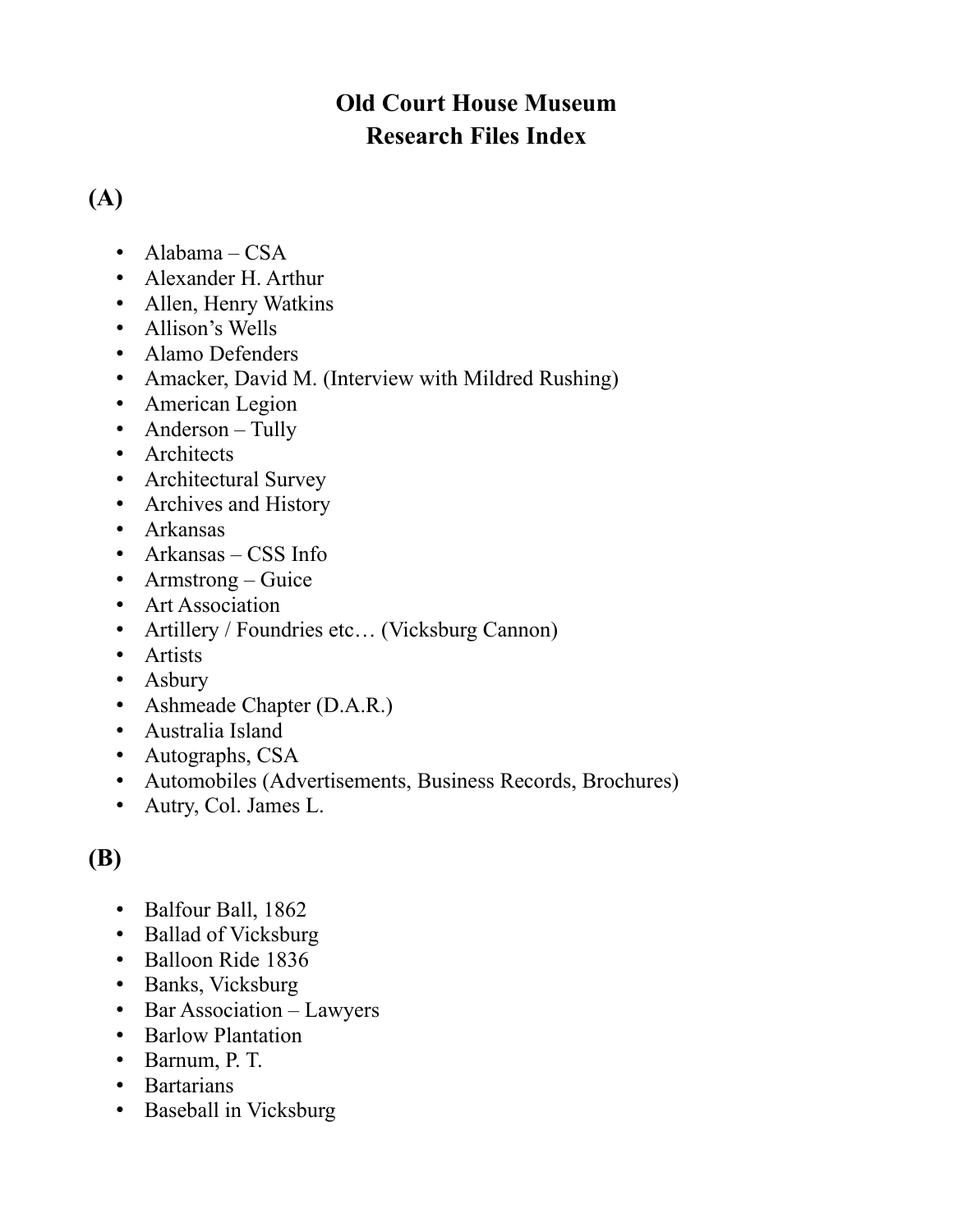### **Old Court House Museum Research Files Index**

### **(A)**

- Alabama CSA
- Alexander H. Arthur
- Allen, Henry Watkins
- Allison's Wells
- Alamo Defenders
- Amacker, David M. (Interview with Mildred Rushing)
- American Legion
- Anderson Tully
- Architects
- Architectural Survey
- Archives and History
- Arkansas
- Arkansas CSS Info
- Armstrong Guice
- Art Association
- Artillery / Foundries etc... (Vicksburg Cannon)
- Artists
- Asbury
- Ashmeade Chapter (D.A.R.)
- Australia Island
- Autographs, CSA
- Automobiles (Advertisements, Business Records, Brochures)
- Autry, Col. James L.

#### **(B)**

- Balfour Ball, 1862
- Ballad of Vicksburg
- Balloon Ride 1836
- Banks, Vicksburg
- Bar Association Lawyers
- Barlow Plantation
- Barnum, P. T.
- Bartarians
- Baseball in Vicksburg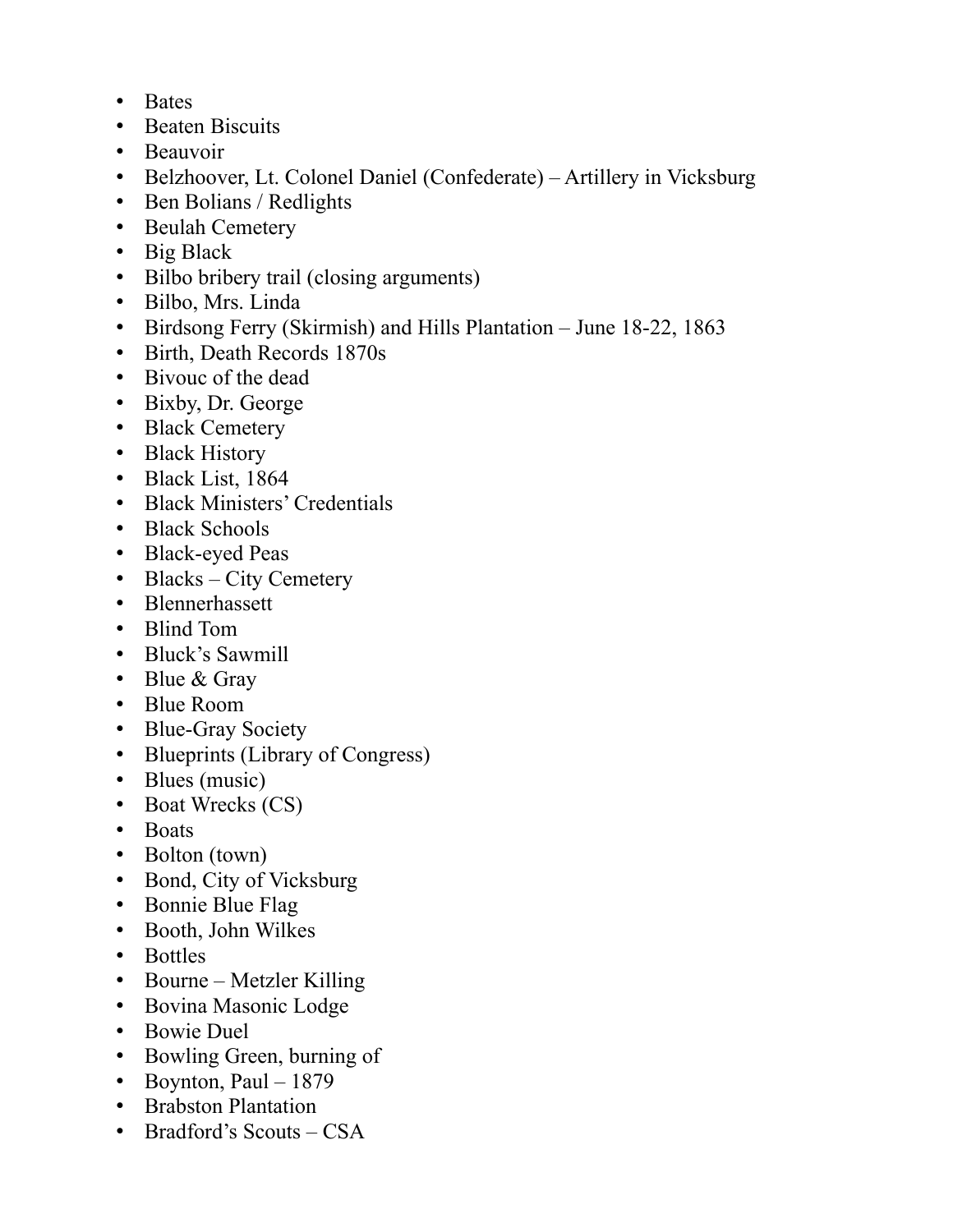- Bates
- Beaten Biscuits
- Beauvoir
- Belzhoover, Lt. Colonel Daniel (Confederate) Artillery in Vicksburg
- Ben Bolians / Redlights
- Beulah Cemetery
- Big Black
- Bilbo bribery trail (closing arguments)
- Bilbo, Mrs. Linda
- Birdsong Ferry (Skirmish) and Hills Plantation June 18-22, 1863
- Birth, Death Records 1870s
- Bivouc of the dead
- Bixby, Dr. George
- Black Cemetery
- Black History
- Black List, 1864
- Black Ministers' Credentials
- Black Schools
- Black-eyed Peas
- Blacks City Cemetery
- Blennerhassett
- Blind Tom
- Bluck's Sawmill
- Blue & Gray
- Blue Room
- Blue-Gray Society
- Blueprints (Library of Congress)
- Blues (music)
- Boat Wrecks (CS)
- Boats
- Bolton (town)
- Bond, City of Vicksburg
- Bonnie Blue Flag
- Booth, John Wilkes
- Bottles
- Bourne Metzler Killing
- Bovina Masonic Lodge
- Bowie Duel
- Bowling Green, burning of
- Boynton, Paul  $-1879$
- Brabston Plantation
- Bradford's Scouts CSA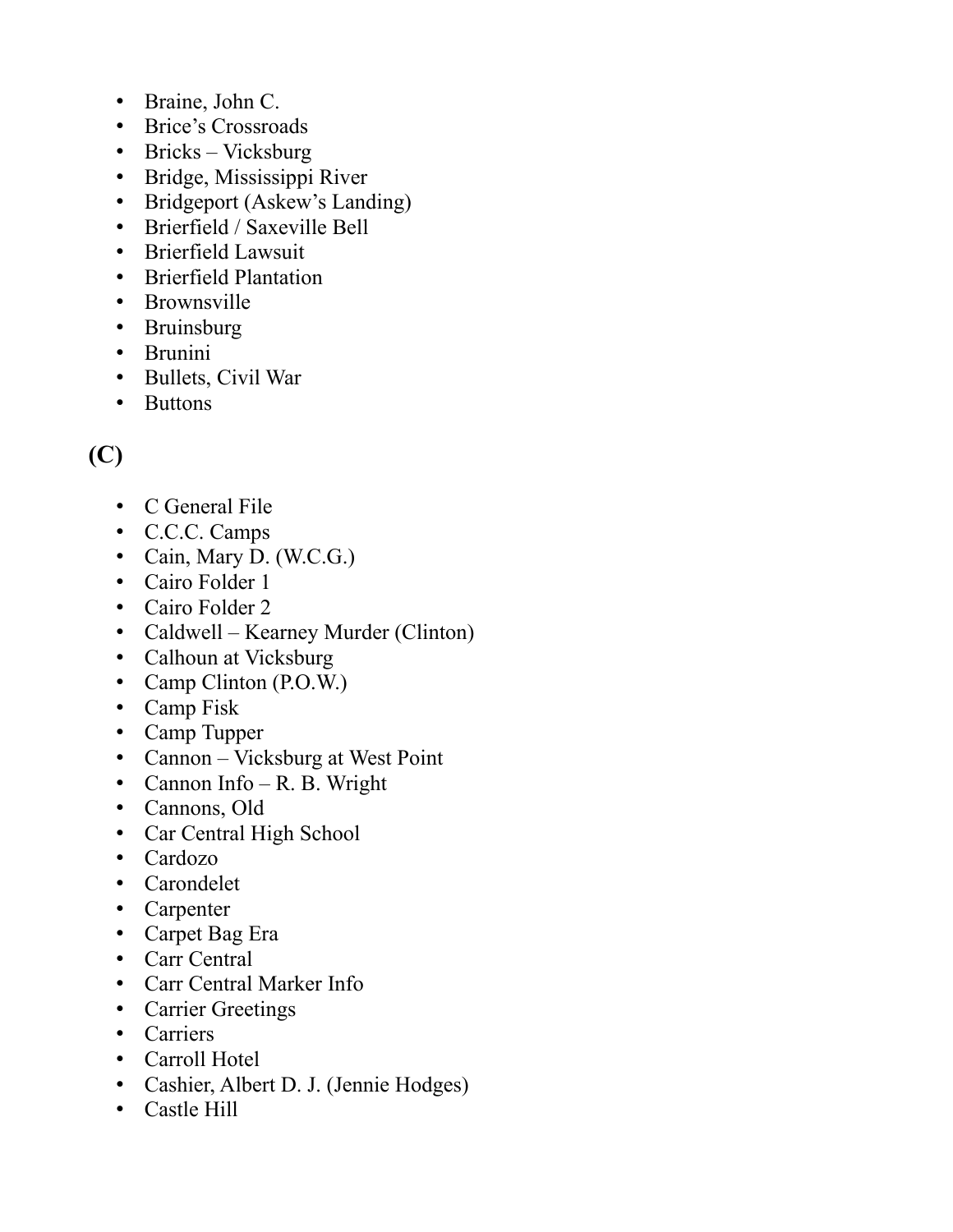- Braine, John C.
- Brice's Crossroads
- Bricks Vicksburg
- Bridge, Mississippi River
- Bridgeport (Askew's Landing)
- Brierfield / Saxeville Bell
- Brierfield Lawsuit
- Brierfield Plantation
- Brownsville
- Bruinsburg
- Brunini
- Bullets, Civil War
- Buttons

# **(C)**

- C General File
- C.C.C. Camps
- Cain, Mary D. (W.C.G.)
- Cairo Folder 1
- Cairo Folder 2
- Caldwell Kearney Murder (Clinton)
- Calhoun at Vicksburg
- Camp Clinton (P.O.W.)
- Camp Fisk
- Camp Tupper
- Cannon Vicksburg at West Point
- Cannon Info R. B. Wright
- Cannons, Old
- Car Central High School
- Cardozo
- Carondelet
- Carpenter
- Carpet Bag Era
- Carr Central
- Carr Central Marker Info
- Carrier Greetings
- Carriers
- Carroll Hotel
- Cashier, Albert D. J. (Jennie Hodges)
- Castle Hill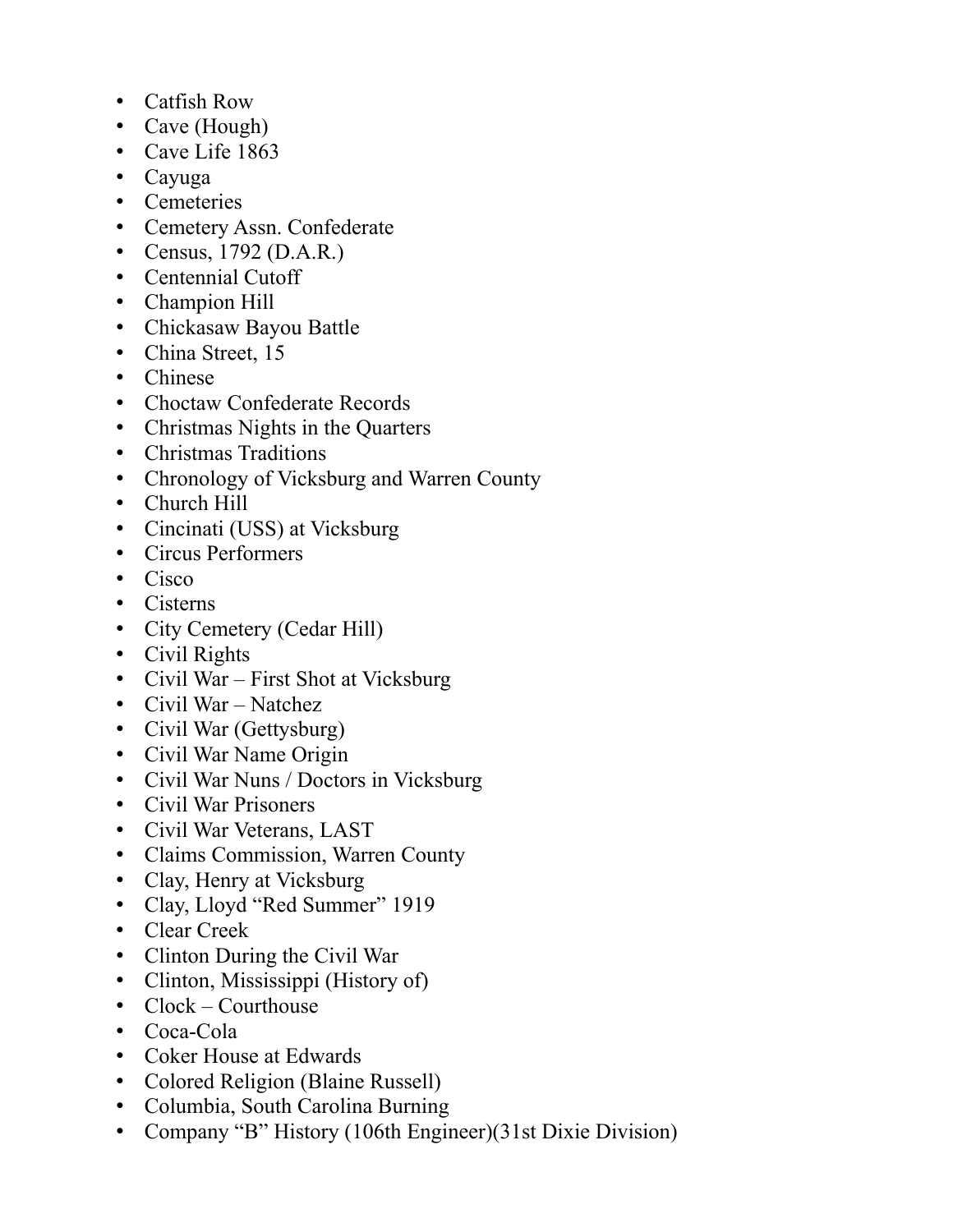- Catfish Row
- Cave (Hough)
- Cave Life 1863
- Cayuga
- Cemeteries
- Cemetery Assn. Confederate
- Census, 1792 (D.A.R.)
- Centennial Cutoff
- Champion Hill
- Chickasaw Bayou Battle
- China Street, 15
- Chinese
- Choctaw Confederate Records
- Christmas Nights in the Quarters
- Christmas Traditions
- Chronology of Vicksburg and Warren County
- Church Hill
- Cincinati (USS) at Vicksburg
- Circus Performers
- Cisco
- Cisterns
- City Cemetery (Cedar Hill)
- Civil Rights
- Civil War First Shot at Vicksburg
- Civil War Natchez
- Civil War (Gettysburg)
- Civil War Name Origin
- Civil War Nuns / Doctors in Vicksburg
- Civil War Prisoners
- Civil War Veterans, LAST
- Claims Commission, Warren County
- Clay, Henry at Vicksburg
- Clay, Lloyd "Red Summer" 1919
- Clear Creek
- Clinton During the Civil War
- Clinton, Mississippi (History of)
- Clock Courthouse
- Coca-Cola
- Coker House at Edwards
- Colored Religion (Blaine Russell)
- Columbia, South Carolina Burning
- Company "B" History (106th Engineer)(31st Dixie Division)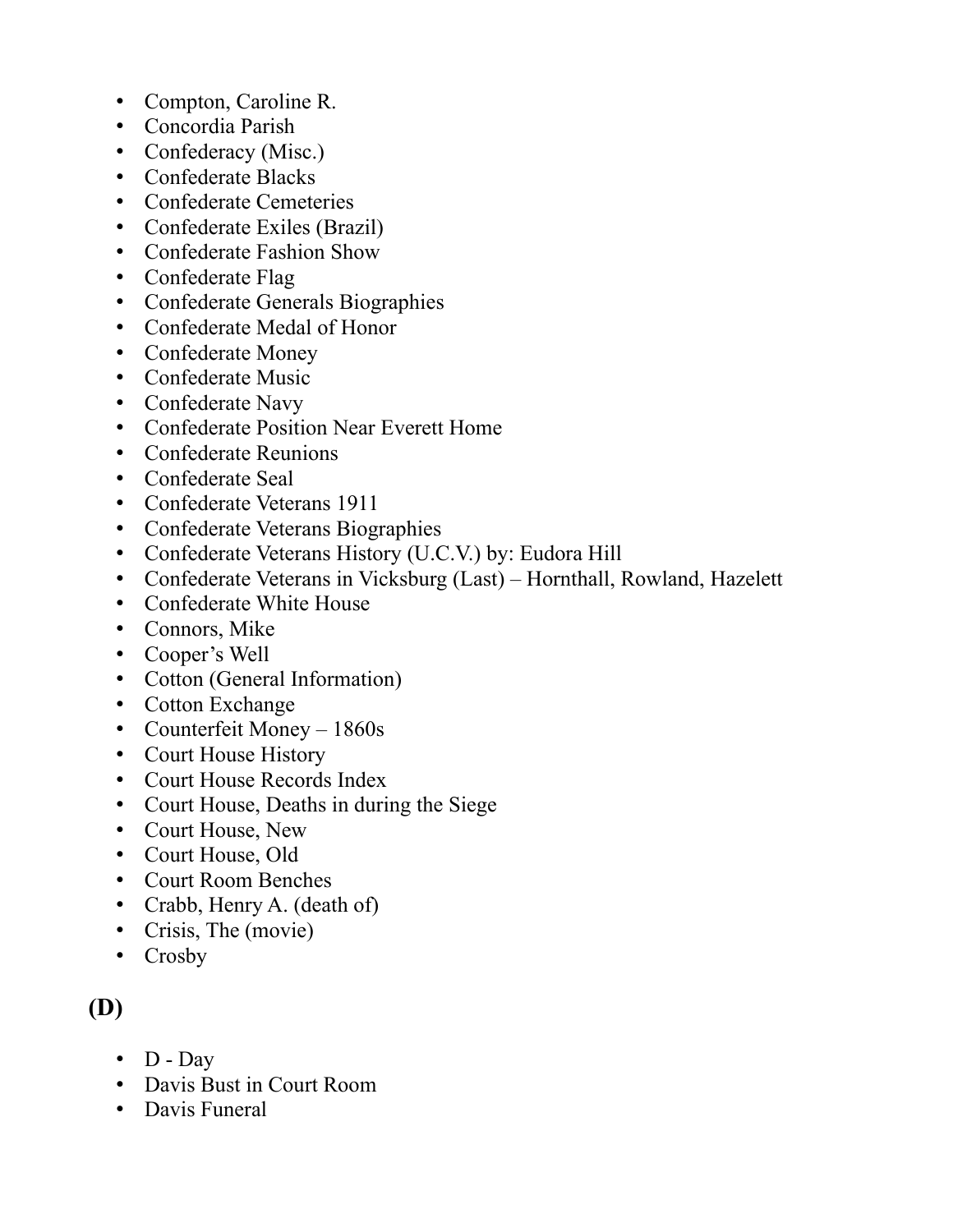- Compton, Caroline R.
- Concordia Parish
- Confederacy (Misc.)
- Confederate Blacks
- Confederate Cemeteries
- Confederate Exiles (Brazil)
- Confederate Fashion Show
- Confederate Flag
- Confederate Generals Biographies
- Confederate Medal of Honor
- Confederate Money
- Confederate Music
- Confederate Navy
- Confederate Position Near Everett Home
- Confederate Reunions
- Confederate Seal
- Confederate Veterans 1911
- Confederate Veterans Biographies
- Confederate Veterans History (U.C.V.) by: Eudora Hill
- Confederate Veterans in Vicksburg (Last) Hornthall, Rowland, Hazelett
- Confederate White House
- Connors, Mike
- Cooper's Well
- Cotton (General Information)
- Cotton Exchange
- Counterfeit Money 1860s
- Court House History
- Court House Records Index
- Court House, Deaths in during the Siege
- Court House, New
- Court House, Old
- Court Room Benches
- Crabb, Henry A. (death of)
- Crisis, The (movie)
- Crosby

## **(D)**

- $D Day$
- Davis Bust in Court Room
- Davis Funeral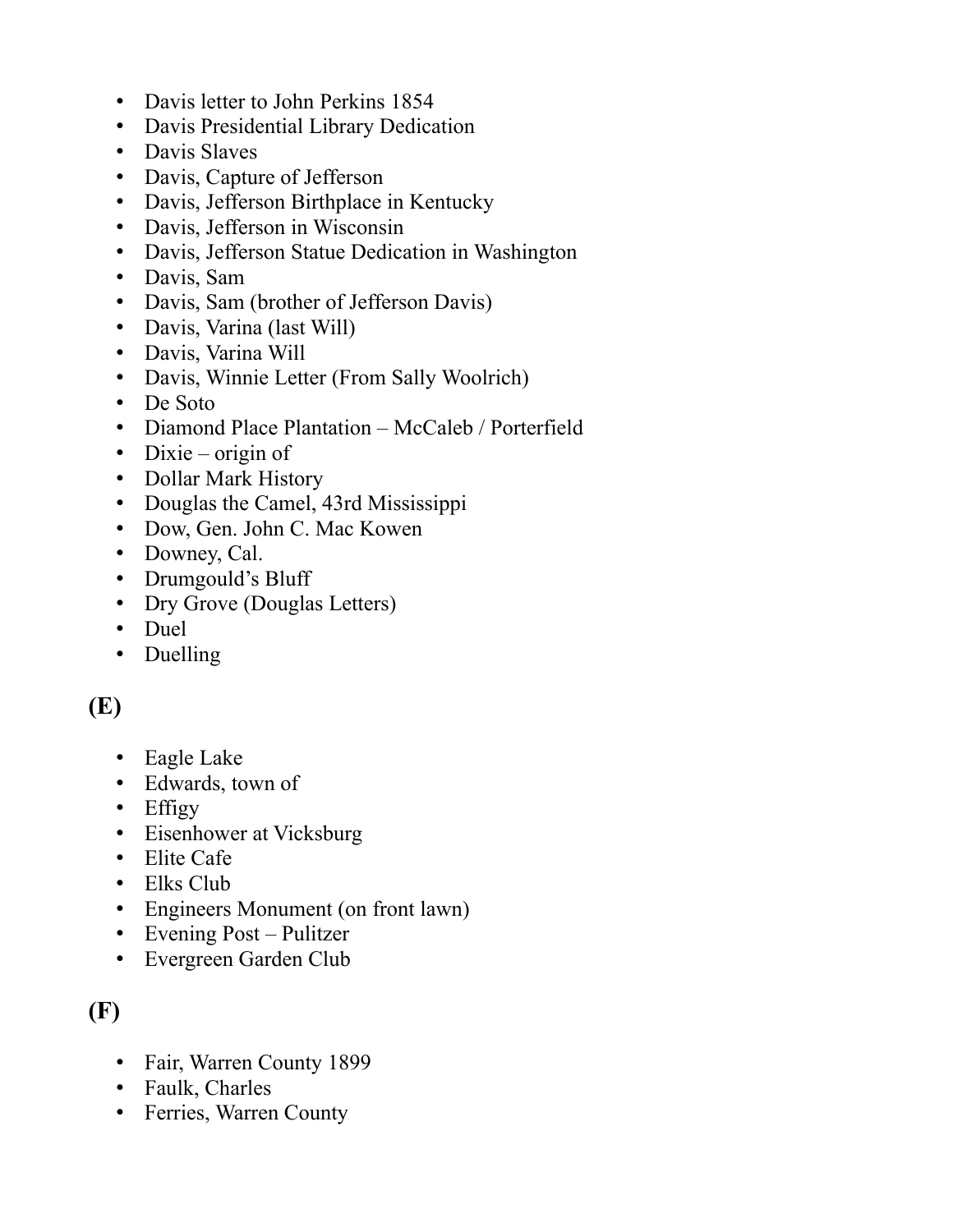- Davis letter to John Perkins 1854
- Davis Presidential Library Dedication
- Davis Slaves
- Davis, Capture of Jefferson
- Davis, Jefferson Birthplace in Kentucky
- Davis, Jefferson in Wisconsin
- Davis, Jefferson Statue Dedication in Washington
- Davis, Sam
- Davis, Sam (brother of Jefferson Davis)
- Davis, Varina (last Will)
- Davis, Varina Will
- Davis, Winnie Letter (From Sally Woolrich)
- De Soto
- Diamond Place Plantation McCaleb / Porterfield
- Dixie origin of
- Dollar Mark History
- Douglas the Camel, 43rd Mississippi
- Dow, Gen. John C. Mac Kowen
- Downey, Cal.
- Drumgould's Bluff
- Dry Grove (Douglas Letters)
- Duel
- Duelling

#### **(E)**

- Eagle Lake
- Edwards, town of
- Effigy
- Eisenhower at Vicksburg
- Elite Cafe
- Elks Club
- Engineers Monument (on front lawn)
- Evening Post Pulitzer
- Evergreen Garden Club

## **(F)**

- Fair, Warren County 1899
- Faulk, Charles
- Ferries, Warren County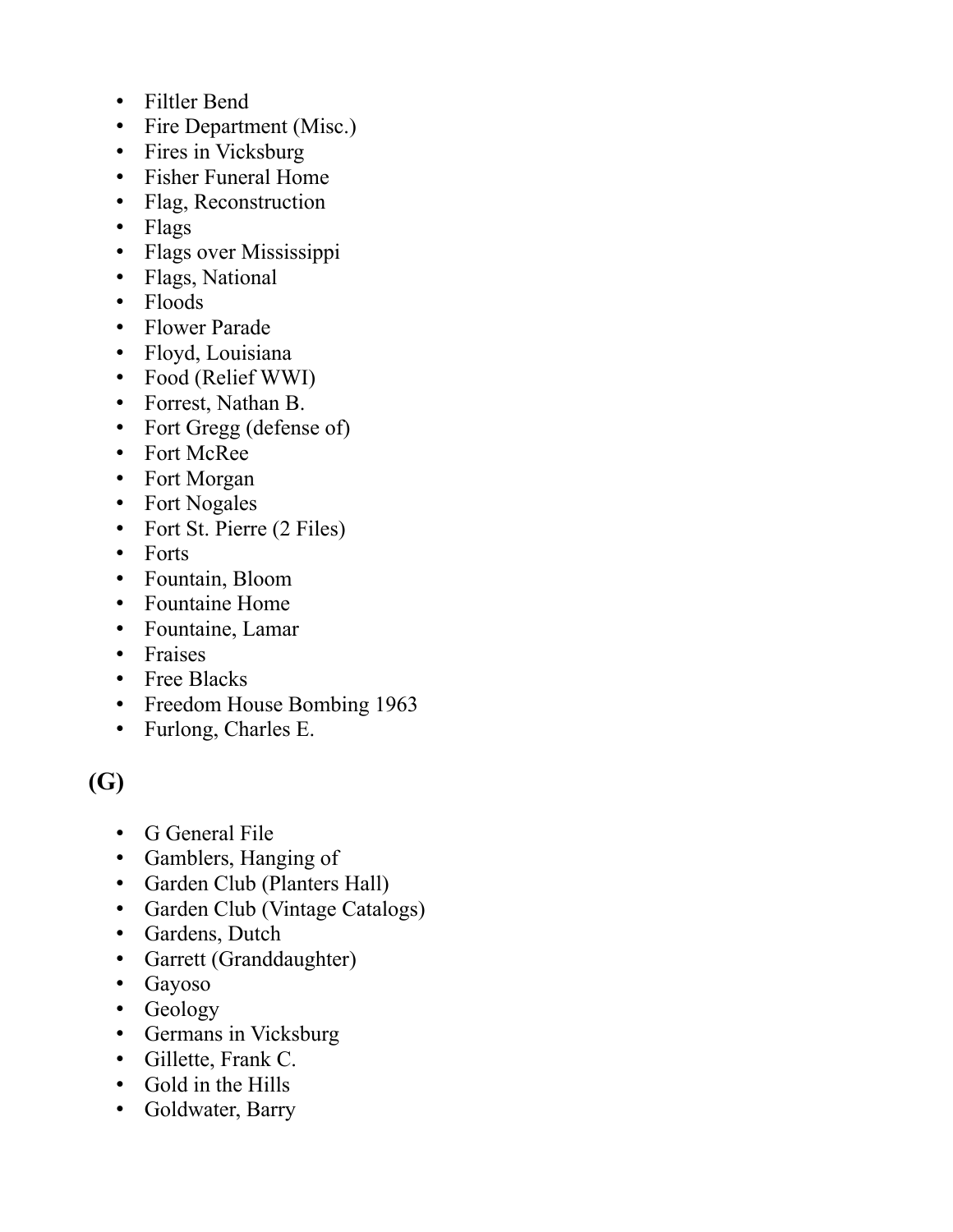- Filtler Bend
- Fire Department (Misc.)
- Fires in Vicksburg
- Fisher Funeral Home
- Flag, Reconstruction
- Flags
- Flags over Mississippi
- Flags, National
- Floods
- Flower Parade
- Floyd, Louisiana
- Food (Relief WWI)
- Forrest, Nathan B.
- Fort Gregg (defense of)
- Fort McRee
- Fort Morgan
- Fort Nogales
- Fort St. Pierre (2 Files)
- Forts
- Fountain, Bloom
- Fountaine Home
- Fountaine, Lamar
- Fraises
- Free Blacks
- Freedom House Bombing 1963
- Furlong, Charles E.

### **(G)**

- G General File
- Gamblers, Hanging of
- Garden Club (Planters Hall)
- Garden Club (Vintage Catalogs)
- Gardens, Dutch
- Garrett (Granddaughter)
- Gayoso
- Geology
- Germans in Vicksburg
- Gillette, Frank C.
- Gold in the Hills
- Goldwater, Barry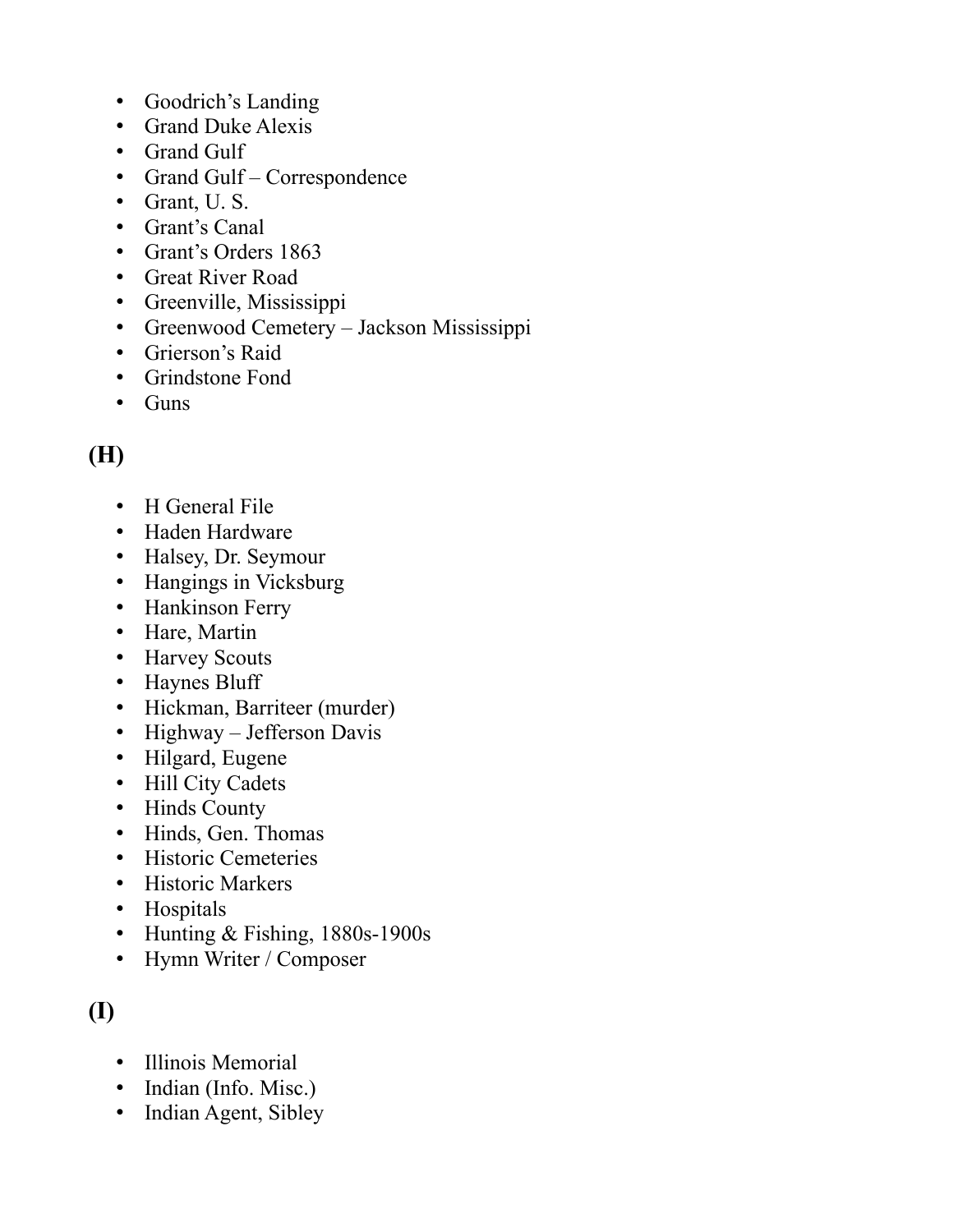- Goodrich's Landing
- Grand Duke Alexis
- Grand Gulf
- Grand Gulf Correspondence
- Grant, U. S.
- Grant's Canal
- Grant's Orders 1863
- Great River Road
- Greenville, Mississippi
- Greenwood Cemetery Jackson Mississippi
- Grierson's Raid
- Grindstone Fond
- Guns

# **(H)**

- H General File
- Haden Hardware
- Halsey, Dr. Seymour
- Hangings in Vicksburg
- Hankinson Ferry
- Hare, Martin
- Harvey Scouts
- Haynes Bluff
- Hickman, Barriteer (murder)
- Highway Jefferson Davis
- Hilgard, Eugene
- Hill City Cadets
- Hinds County
- Hinds, Gen. Thomas
- Historic Cemeteries
- Historic Markers
- Hospitals
- Hunting & Fishing, 1880s-1900s
- Hymn Writer / Composer

### **(I)**

- Illinois Memorial
- Indian (Info. Misc.)
- Indian Agent, Sibley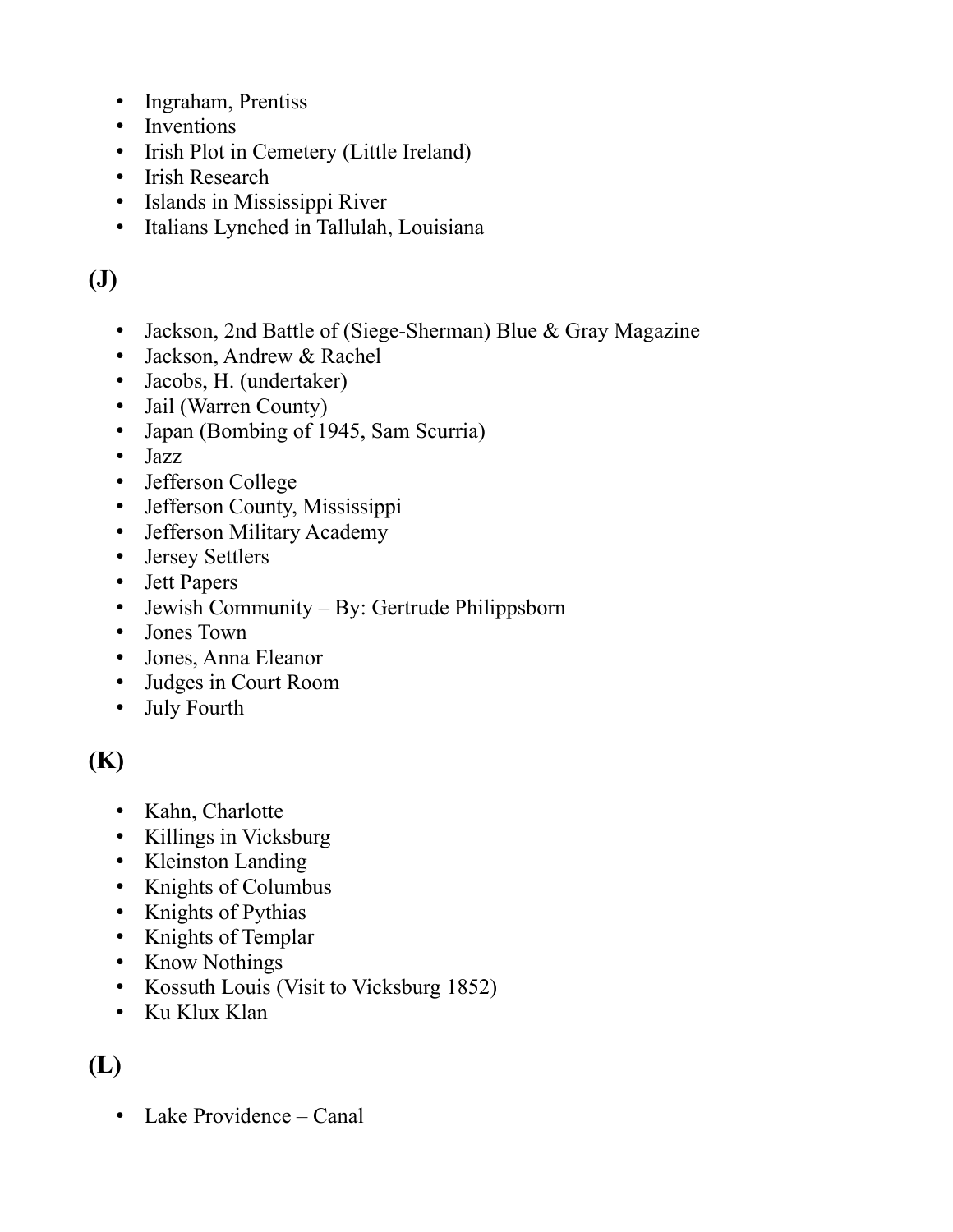- Ingraham, Prentiss
- Inventions
- Irish Plot in Cemetery (Little Ireland)
- Irish Research
- Islands in Mississippi River
- Italians Lynched in Tallulah, Louisiana

# **(J)**

- Jackson, 2nd Battle of (Siege-Sherman) Blue & Gray Magazine
- Jackson, Andrew & Rachel
- Jacobs, H. (undertaker)
- Jail (Warren County)
- Japan (Bombing of 1945, Sam Scurria)
- Jazz
- Jefferson College
- Jefferson County, Mississippi
- Jefferson Military Academy
- Jersey Settlers
- Jett Papers
- Jewish Community By: Gertrude Philippsborn
- Jones Town
- Jones, Anna Eleanor
- Judges in Court Room
- July Fourth

## **(K)**

- Kahn, Charlotte
- Killings in Vicksburg
- Kleinston Landing
- Knights of Columbus
- Knights of Pythias
- Knights of Templar
- Know Nothings
- Kossuth Louis (Visit to Vicksburg 1852)
- Ku Klux Klan

### **(L)**

• Lake Providence – Canal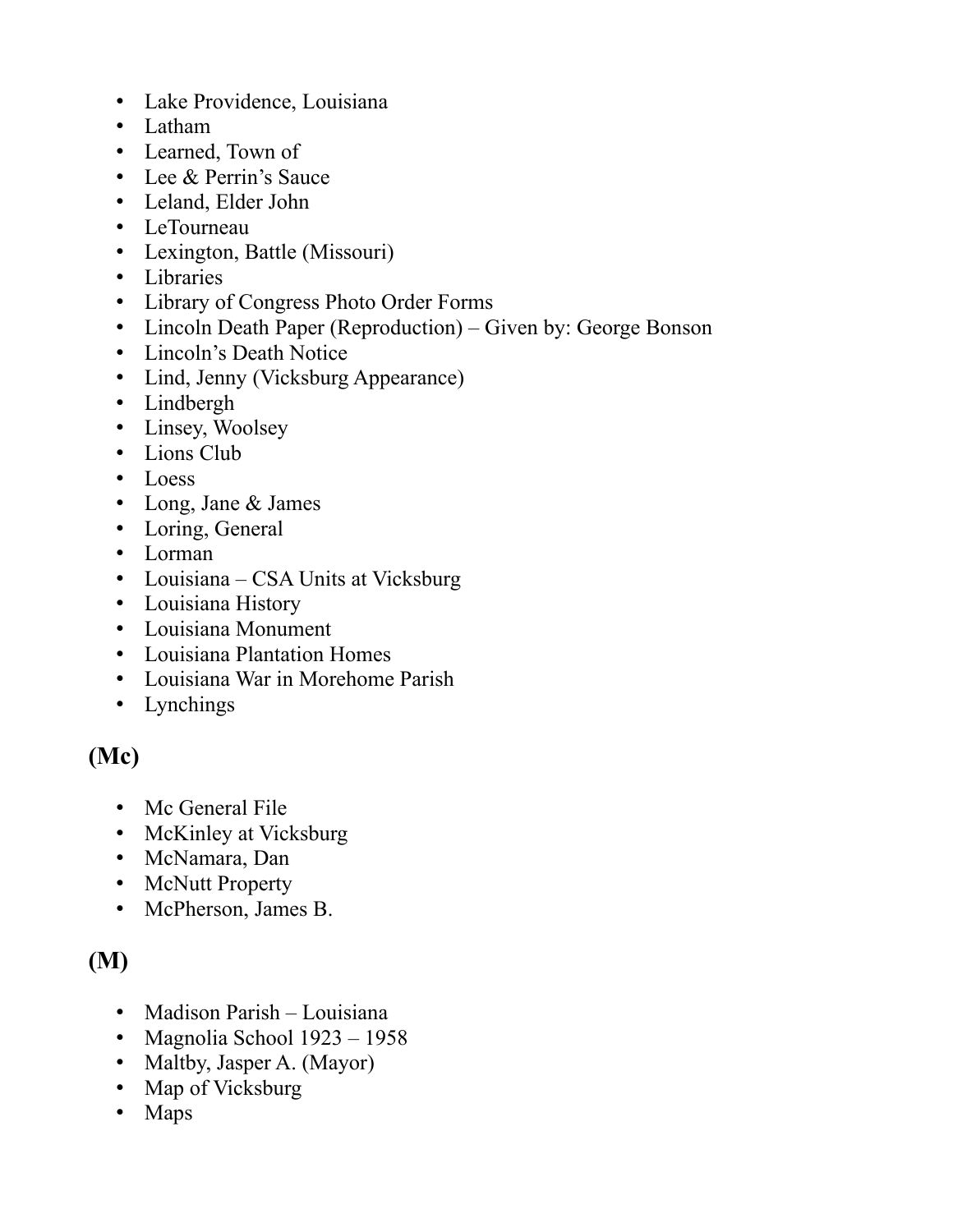- Lake Providence, Louisiana
- Latham
- Learned, Town of
- Lee & Perrin's Sauce
- Leland, Elder John
- LeTourneau
- Lexington, Battle (Missouri)
- Libraries
- Library of Congress Photo Order Forms
- Lincoln Death Paper (Reproduction) Given by: George Bonson
- Lincoln's Death Notice
- Lind, Jenny (Vicksburg Appearance)
- Lindbergh
- Linsey, Woolsey
- Lions Club
- Loess
- Long, Jane & James
- Loring, General
- Lorman
- Louisiana CSA Units at Vicksburg
- Louisiana History
- Louisiana Monument
- Louisiana Plantation Homes
- Louisiana War in Morehome Parish
- Lynchings

#### **(Mc)**

- Mc General File
- McKinley at Vicksburg
- McNamara, Dan
- McNutt Property
- McPherson, James B.

#### **(M)**

- Madison Parish Louisiana
- Magnolia School 1923 1958
- Maltby, Jasper A. (Mayor)
- Map of Vicksburg
- Maps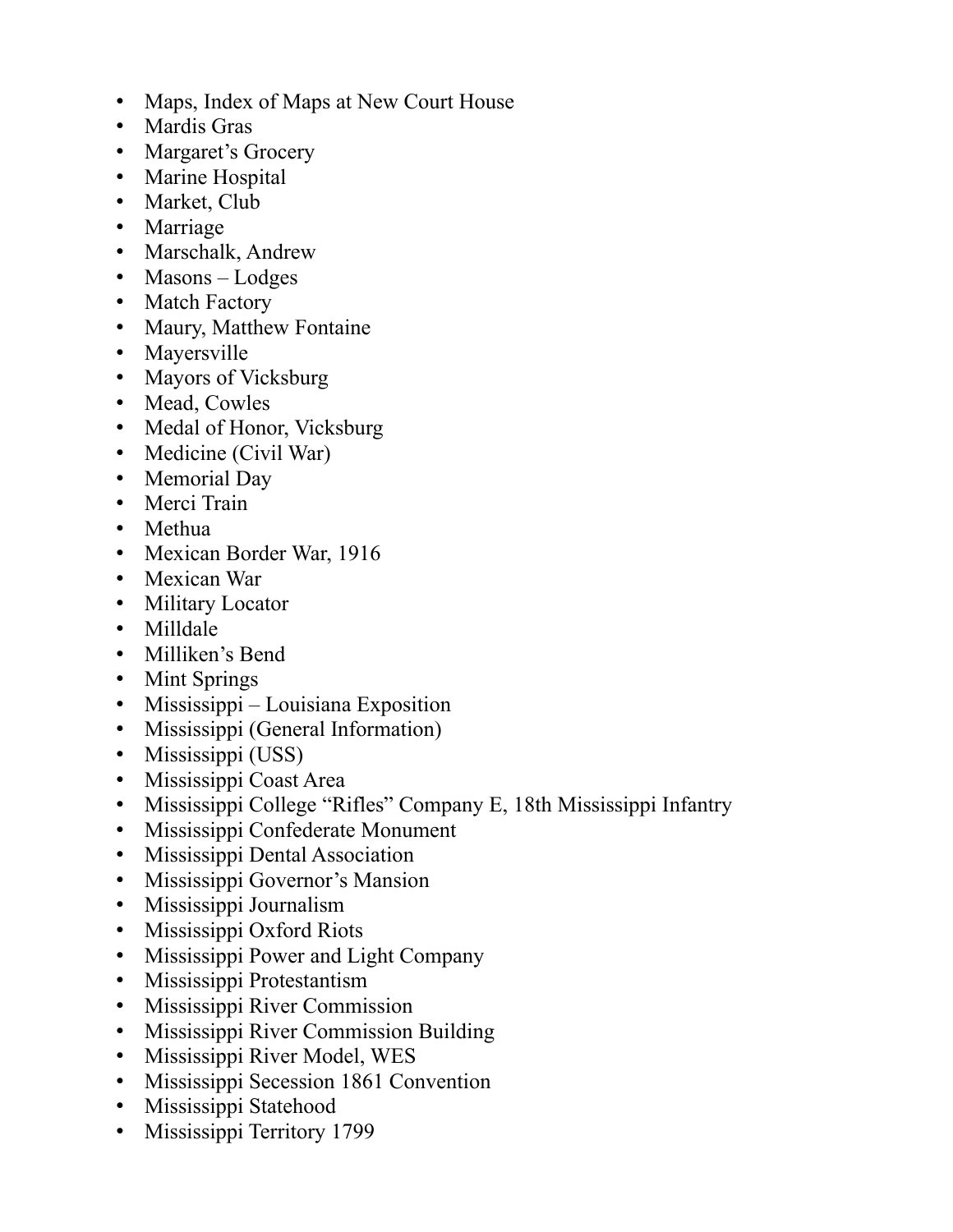- Maps, Index of Maps at New Court House
- Mardis Gras
- Margaret's Grocery
- Marine Hospital
- Market, Club
- Marriage
- Marschalk, Andrew
- Masons Lodges
- Match Factory
- Maury, Matthew Fontaine
- Mayersville
- Mayors of Vicksburg
- Mead, Cowles
- Medal of Honor, Vicksburg
- Medicine (Civil War)
- Memorial Day
- Merci Train
- Methua
- Mexican Border War, 1916
- Mexican War
- Military Locator
- Milldale
- Milliken's Bend
- Mint Springs
- Mississippi Louisiana Exposition
- Mississippi (General Information)
- Mississippi (USS)
- Mississippi Coast Area
- Mississippi College "Rifles" Company E, 18th Mississippi Infantry
- Mississippi Confederate Monument
- Mississippi Dental Association
- Mississippi Governor's Mansion
- Mississippi Journalism
- Mississippi Oxford Riots
- Mississippi Power and Light Company
- Mississippi Protestantism
- Mississippi River Commission
- Mississippi River Commission Building
- Mississippi River Model, WES
- Mississippi Secession 1861 Convention
- Mississippi Statehood
- Mississippi Territory 1799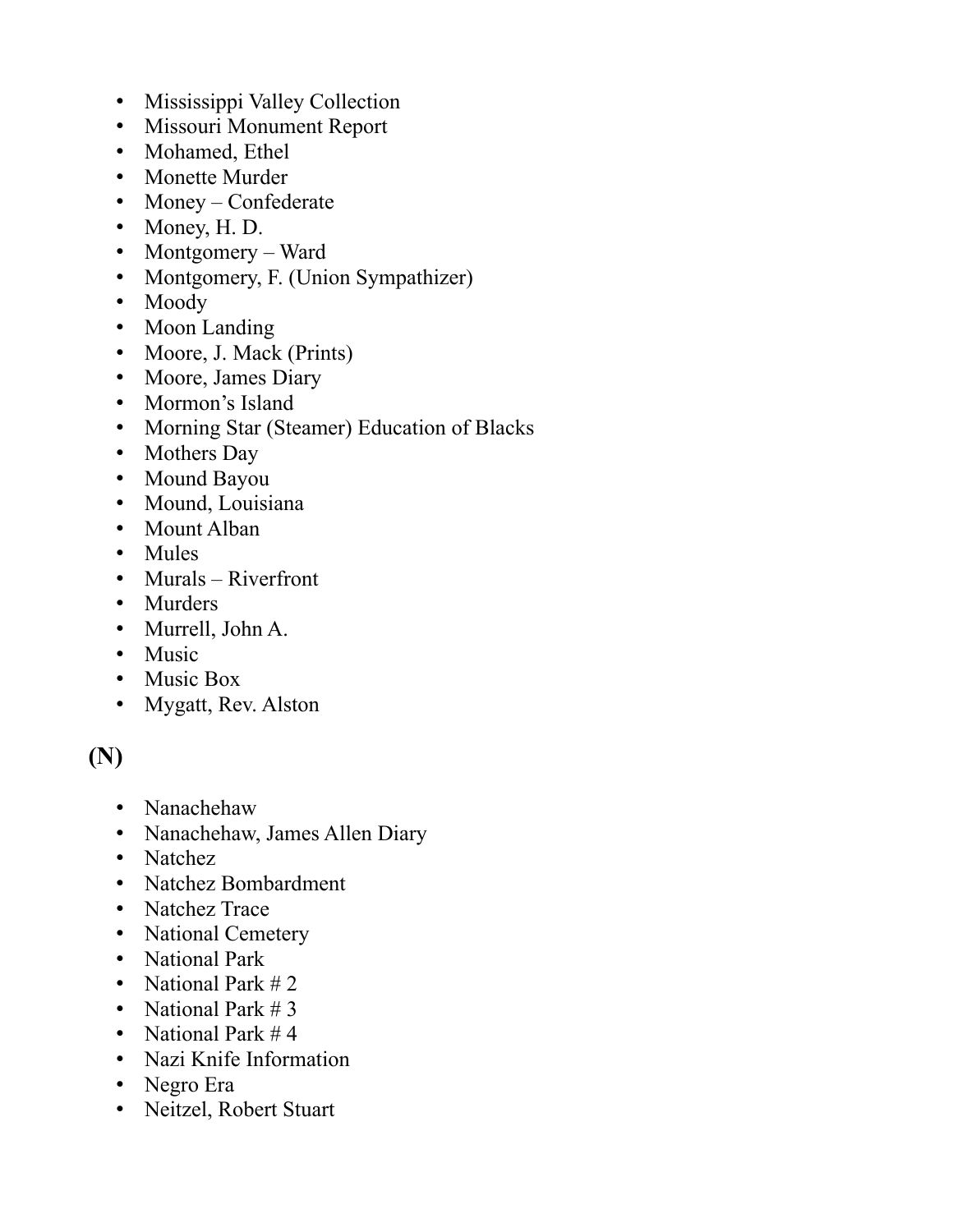- Mississippi Valley Collection
- Missouri Monument Report
- Mohamed, Ethel
- Monette Murder
- Money Confederate
- Money, H. D.
- Montgomery Ward
- Montgomery, F. (Union Sympathizer)
- Moody
- Moon Landing
- Moore, J. Mack (Prints)
- Moore, James Diary
- Mormon's Island
- Morning Star (Steamer) Education of Blacks
- Mothers Day
- Mound Bayou
- Mound, Louisiana
- Mount Alban
- Mules
- Murals Riverfront
- Murders
- Murrell, John A.
- Music
- Music Box
- Mygatt, Rev. Alston

#### **(N)**

- Nanachehaw
- Nanachehaw, James Allen Diary
- Natchez
- Natchez Bombardment
- Natchez Trace
- National Cemetery
- National Park
- National Park #2
- National Park # 3
- National Park #4
- Nazi Knife Information
- Negro Era
- Neitzel, Robert Stuart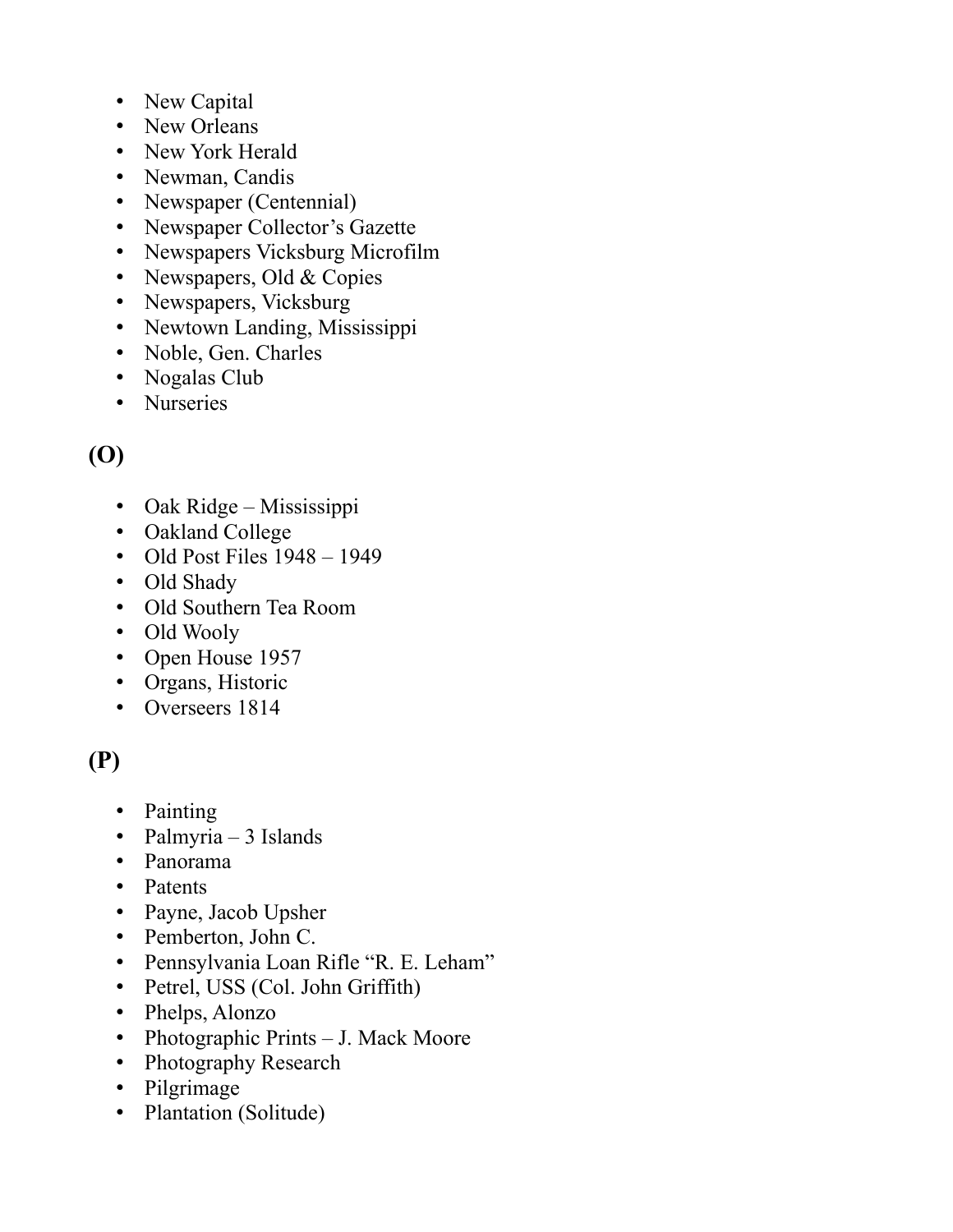- New Capital
- New Orleans
- New York Herald
- Newman, Candis
- Newspaper (Centennial)
- Newspaper Collector's Gazette
- Newspapers Vicksburg Microfilm
- Newspapers, Old & Copies
- Newspapers, Vicksburg
- Newtown Landing, Mississippi
- Noble, Gen. Charles
- Nogalas Club
- Nurseries

# **(O)**

- Oak Ridge Mississippi
- Oakland College
- Old Post Files  $1948 1949$
- Old Shady
- Old Southern Tea Room
- Old Wooly
- Open House 1957
- Organs, Historic
- Overseers 1814

# **(P)**

- Painting
- Palmyria 3 Islands
- Panorama
- Patents
- Payne, Jacob Upsher
- Pemberton, John C.
- Pennsylvania Loan Rifle "R. E. Leham"
- Petrel, USS (Col. John Griffith)
- Phelps, Alonzo
- Photographic Prints J. Mack Moore
- Photography Research
- Pilgrimage
- Plantation (Solitude)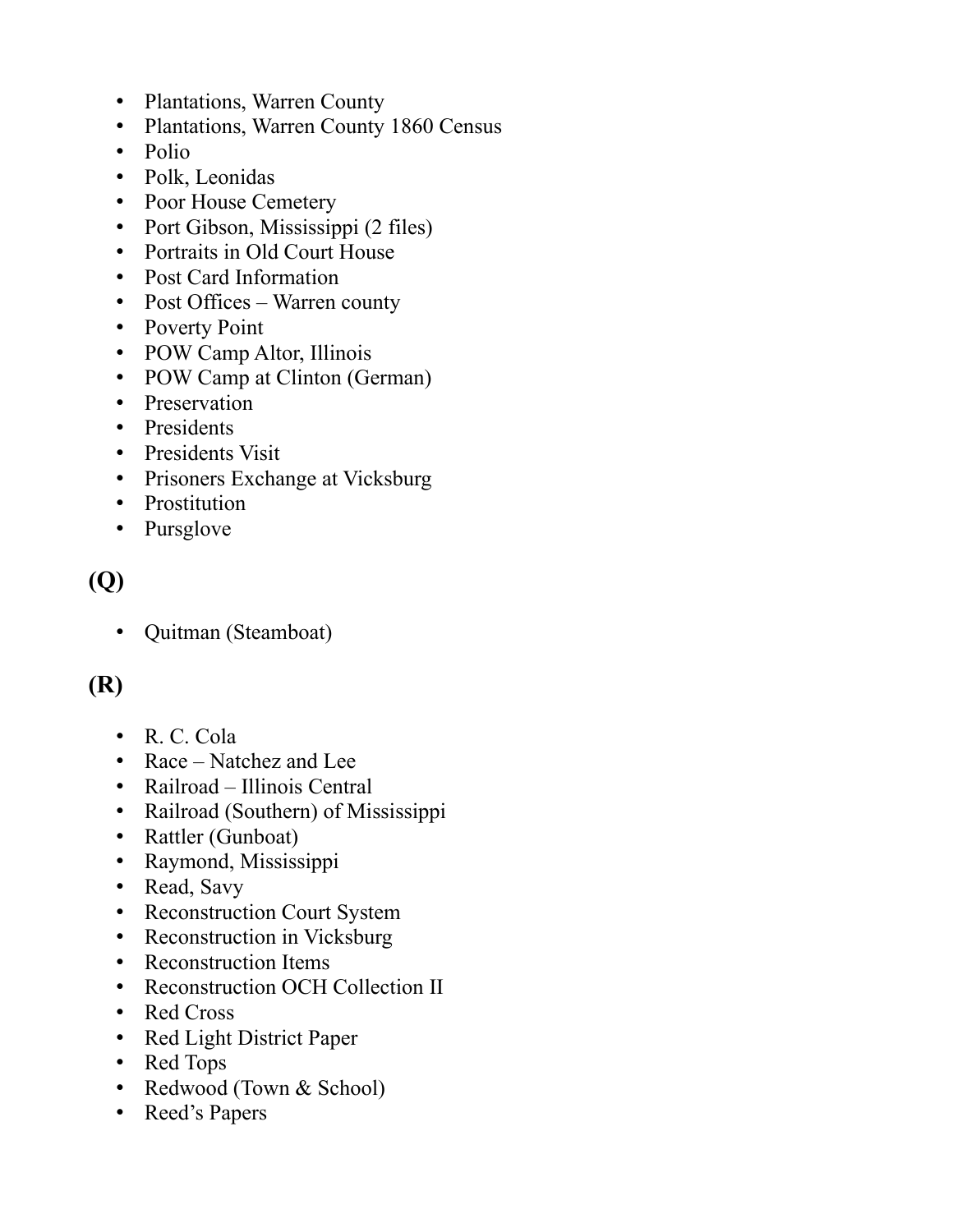- Plantations, Warren County
- Plantations, Warren County 1860 Census
- Polio
- Polk, Leonidas
- Poor House Cemetery
- Port Gibson, Mississippi (2 files)
- Portraits in Old Court House
- Post Card Information
- Post Offices Warren county
- Poverty Point
- POW Camp Altor, Illinois
- POW Camp at Clinton (German)
- Preservation
- Presidents
- Presidents Visit
- Prisoners Exchange at Vicksburg
- Prostitution
- Pursglove

## **(Q)**

• Quitman (Steamboat)

### **(R)**

- R. C. Cola
- Race Natchez and Lee
- Railroad Illinois Central
- Railroad (Southern) of Mississippi
- Rattler (Gunboat)
- Raymond, Mississippi
- Read, Savy
- Reconstruction Court System
- Reconstruction in Vicksburg
- Reconstruction Items
- Reconstruction OCH Collection II
- Red Cross
- Red Light District Paper
- Red Tops
- Redwood (Town & School)
- Reed's Papers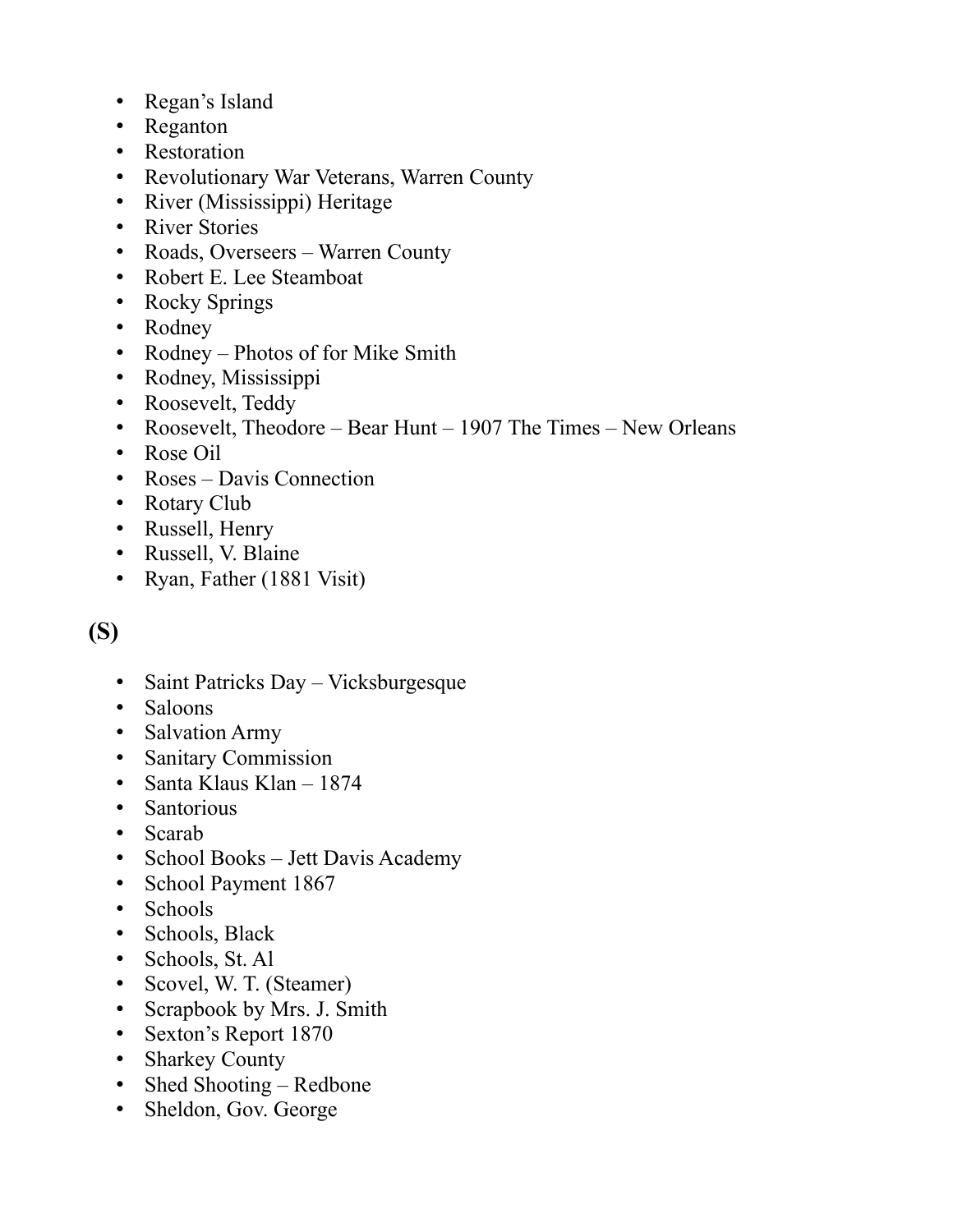- Regan's Island
- Reganton
- Restoration
- Revolutionary War Veterans, Warren County
- River (Mississippi) Heritage
- River Stories
- Roads, Overseers Warren County
- Robert E. Lee Steamboat
- Rocky Springs
- Rodney
- Rodney Photos of for Mike Smith
- Rodney, Mississippi
- Roosevelt, Teddy
- Roosevelt, Theodore Bear Hunt 1907 The Times New Orleans
- Rose Oil
- Roses Davis Connection
- Rotary Club
- Russell, Henry
- Russell, V. Blaine
- Ryan, Father (1881 Visit)

## **(S)**

- Saint Patricks Day Vicksburgesque
- Saloons
- Salvation Army
- Sanitary Commission
- Santa Klaus Klan 1874
- Santorious
- Scarab
- School Books Jett Davis Academy
- School Payment 1867
- Schools
- Schools, Black
- Schools, St. Al
- Scovel, W. T. (Steamer)
- Scrapbook by Mrs. J. Smith
- Sexton's Report 1870
- Sharkey County
- Shed Shooting Redbone
- Sheldon, Gov. George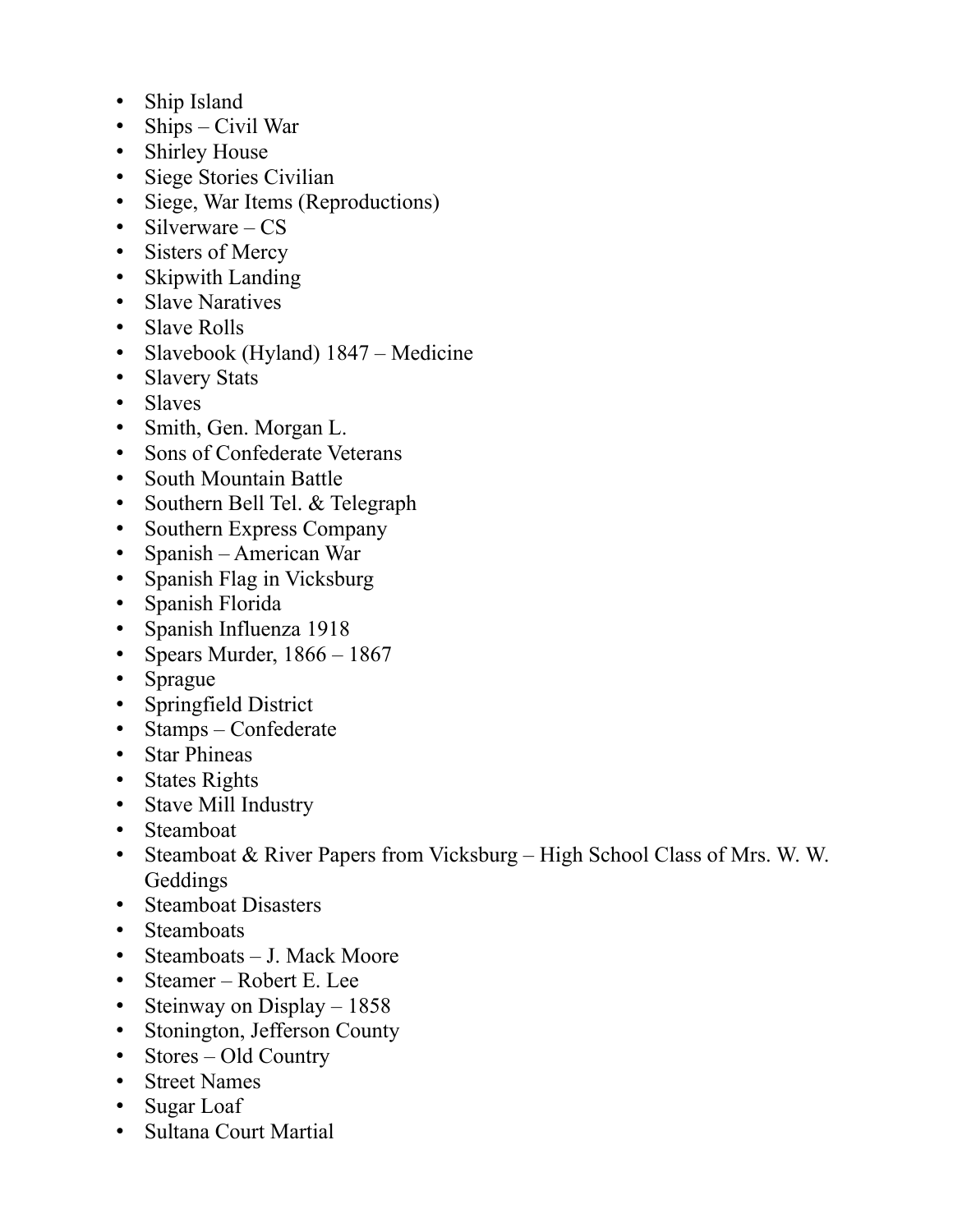- Ship Island
- Ships Civil War
- Shirley House
- Siege Stories Civilian
- Siege, War Items (Reproductions)
- Silverware CS
- Sisters of Mercy
- Skipwith Landing
- Slave Naratives
- Slave Rolls
- Slavebook (Hyland) 1847 Medicine
- Slavery Stats
- Slaves
- Smith, Gen. Morgan L.
- Sons of Confederate Veterans
- South Mountain Battle
- Southern Bell Tel. & Telegraph
- Southern Express Company
- Spanish American War
- Spanish Flag in Vicksburg
- Spanish Florida
- Spanish Influenza 1918
- Spears Murder,  $1866 1867$
- Sprague
- Springfield District
- Stamps Confederate
- Star Phineas
- States Rights
- Stave Mill Industry
- Steamboat
- Steamboat & River Papers from Vicksburg High School Class of Mrs. W. W. Geddings
- Steamboat Disasters
- Steamboats
- Steamboats J. Mack Moore
- Steamer Robert E. Lee
- Steinway on Display 1858
- Stonington, Jefferson County
- Stores Old Country
- Street Names
- Sugar Loaf
- Sultana Court Martial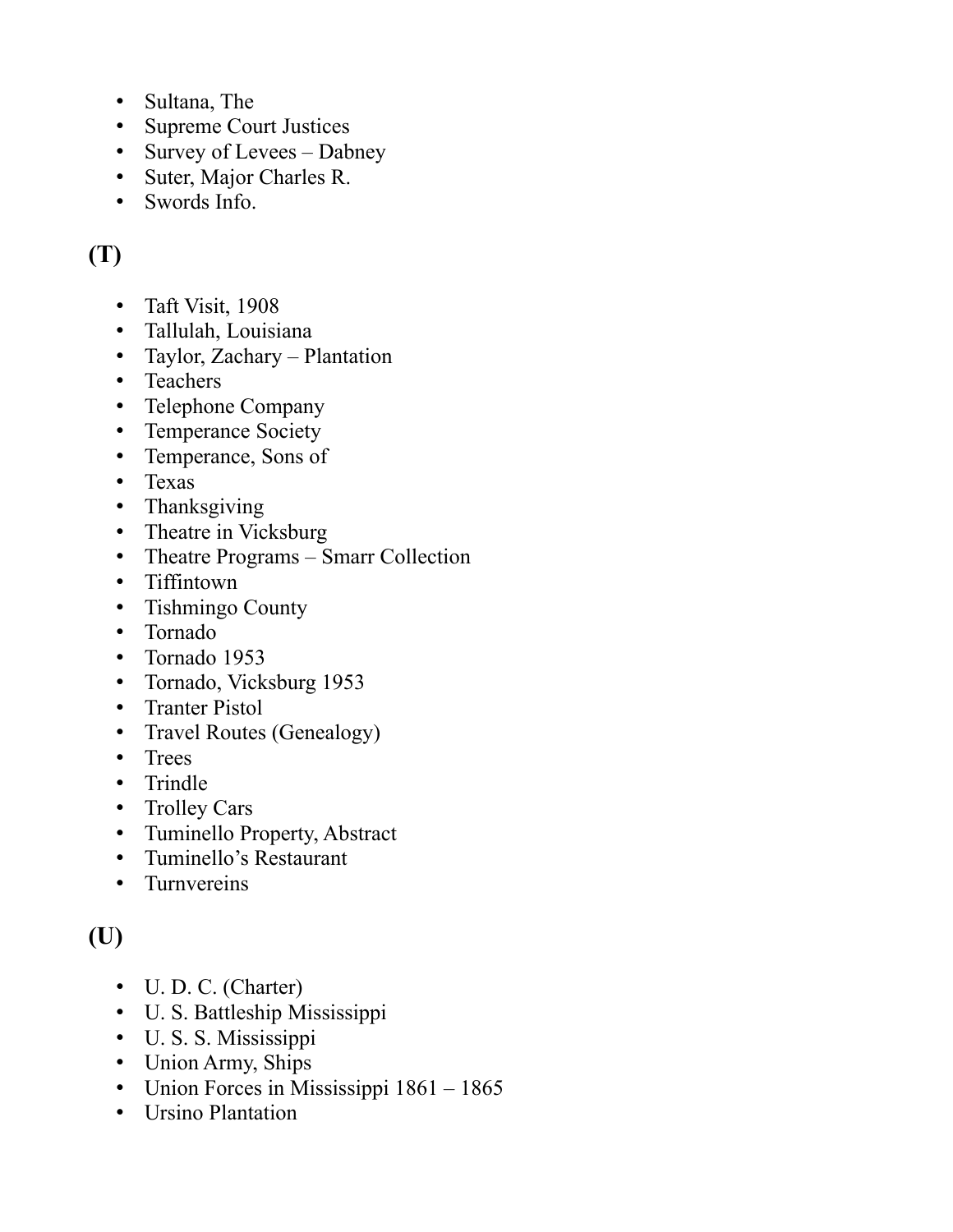- Sultana, The
- Supreme Court Justices
- Survey of Levees Dabney
- Suter, Major Charles R.
- Swords Info.

# **(T)**

- Taft Visit, 1908
- Tallulah, Louisiana
- Taylor, Zachary Plantation
- Teachers
- Telephone Company
- Temperance Society
- Temperance, Sons of
- Texas
- Thanksgiving
- Theatre in Vicksburg
- Theatre Programs Smarr Collection
- Tiffintown
- Tishmingo County
- Tornado
- Tornado 1953
- Tornado, Vicksburg 1953
- Tranter Pistol
- Travel Routes (Genealogy)
- Trees
- Trindle
- Trolley Cars
- Tuminello Property, Abstract
- Tuminello's Restaurant
- Turnvereins

# **(U)**

- U. D. C. (Charter)
- U. S. Battleship Mississippi
- U. S. S. Mississippi
- Union Army, Ships
- Union Forces in Mississippi 1861 1865
- Ursino Plantation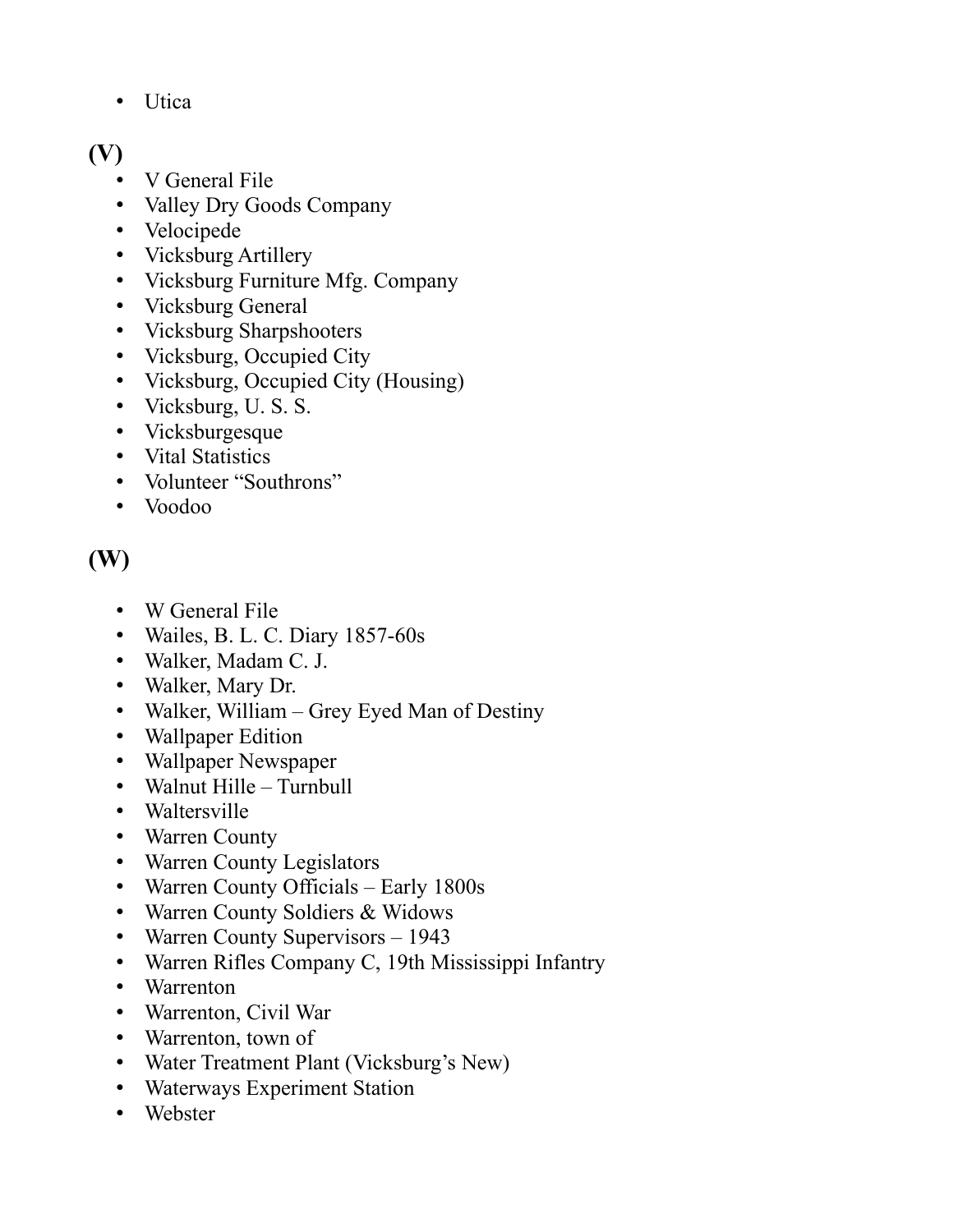• Utica

### **(V)**

- V General File
- Valley Dry Goods Company
- Velocipede
- Vicksburg Artillery
- Vicksburg Furniture Mfg. Company
- Vicksburg General
- Vicksburg Sharpshooters
- Vicksburg, Occupied City
- Vicksburg, Occupied City (Housing)
- Vicksburg, U. S. S.
- Vicksburgesque
- Vital Statistics
- Volunteer "Southrons"
- Voodoo

## **(W)**

- W General File
- Wailes, B. L. C. Diary 1857-60s
- Walker, Madam C. J.
- Walker, Mary Dr.
- Walker, William Grey Eyed Man of Destiny
- Wallpaper Edition
- Wallpaper Newspaper
- Walnut Hille Turnbull
- Waltersville
- Warren County
- Warren County Legislators
- Warren County Officials Early 1800s
- Warren County Soldiers & Widows
- Warren County Supervisors 1943
- Warren Rifles Company C, 19th Mississippi Infantry
- Warrenton
- Warrenton, Civil War
- Warrenton, town of
- Water Treatment Plant (Vicksburg's New)
- Waterways Experiment Station
- Webster